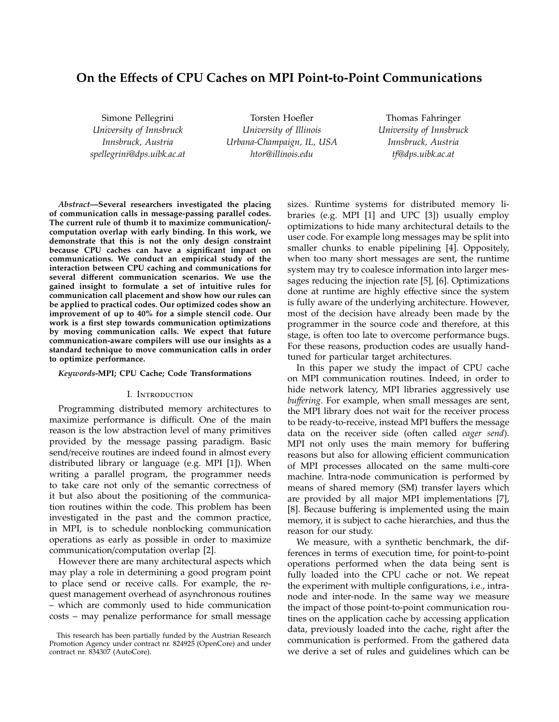# **On the E**ff**ects of CPU Caches on MPI Point-to-Point Communications**

Simone Pellegrini *University of Innsbruck Innsbruck, Austria spellegrini@dps.uibk.ac.at*

Torsten Hoefler *University of Illinois Urbana-Champaign, IL, USA htor@illinois.edu*

Thomas Fahringer *University of Innsbruck Innsbruck, Austria tf@dps.uibk.ac.at*

*Abstract***—Several researchers investigated the placing of communication calls in message-passing parallel codes. The current rule of thumb it to maximize communication**/ **computation overlap with early binding. In this work, we demonstrate that this is not the only design constraint because CPU caches can have a significant impact on communications. We conduct an empirical study of the interaction between CPU caching and communications for several di**ff**erent communication scenarios. We use the gained insight to formulate a set of intuitive rules for communication call placement and show how our rules can be applied to practical codes. Our optimized codes show an improvement of up to 40% for a simple stencil code. Our work is a first step towards communication optimizations by moving communication calls. We expect that future communication-aware compilers will use our insights as a standard technique to move communication calls in order to optimize performance.**

### *Keywords***-MPI; CPU Cache; Code Transformations**

#### I. Introduction

Programming distributed memory architectures to maximize performance is difficult. One of the main reason is the low abstraction level of many primitives provided by the message passing paradigm. Basic send/receive routines are indeed found in almost every distributed library or language (e.g. MPI [1]). When writing a parallel program, the programmer needs to take care not only of the semantic correctness of it but also about the positioning of the communication routines within the code. This problem has been investigated in the past and the common practice, in MPI, is to schedule nonblocking communication operations as early as possible in order to maximize communication/computation overlap [2].

However there are many architectural aspects which may play a role in determining a good program point to place send or receive calls. For example, the request management overhead of asynchronous routines – which are commonly used to hide communication costs – may penalize performance for small message

sizes. Runtime systems for distributed memory libraries (e.g. MPI [1] and UPC [3]) usually employ optimizations to hide many architectural details to the user code. For example long messages may be split into smaller chunks to enable pipelining [4]. Oppositely, when too many short messages are sent, the runtime system may try to coalesce information into larger messages reducing the injection rate [5], [6]. Optimizations done at runtime are highly effective since the system is fully aware of the underlying architecture. However, most of the decision have already been made by the programmer in the source code and therefore, at this stage, is often too late to overcome performance bugs. For these reasons, production codes are usually handtuned for particular target architectures.

In this paper we study the impact of CPU cache on MPI communication routines. Indeed, in order to hide network latency, MPI libraries aggressively use *bu*ff*ering*. For example, when small messages are sent, the MPI library does not wait for the receiver process to be ready-to-receive, instead MPI buffers the message data on the receiver side (often called *eager send*). MPI not only uses the main memory for buffering reasons but also for allowing efficient communication of MPI processes allocated on the same multi-core machine. Intra-node communication is performed by means of shared memory (SM) transfer layers which are provided by all major MPI implementations [7], [8]. Because buffering is implemented using the main memory, it is subject to cache hierarchies, and thus the reason for our study.

We measure, with a synthetic benchmark, the differences in terms of execution time, for point-to-point operations performed when the data being sent is fully loaded into the CPU cache or not. We repeat the experiment with multiple configurations, i.e., intranode and inter-node. In the same way we measure the impact of those point-to-point communication routines on the application cache by accessing application data, previously loaded into the cache, right after the communication is performed. From the gathered data we derive a set of rules and guidelines which can be

This research has been partially funded by the Austrian Research Promotion Agency under contract nr. 824925 (OpenCore) and under contract nr. 834307 (AutoCore).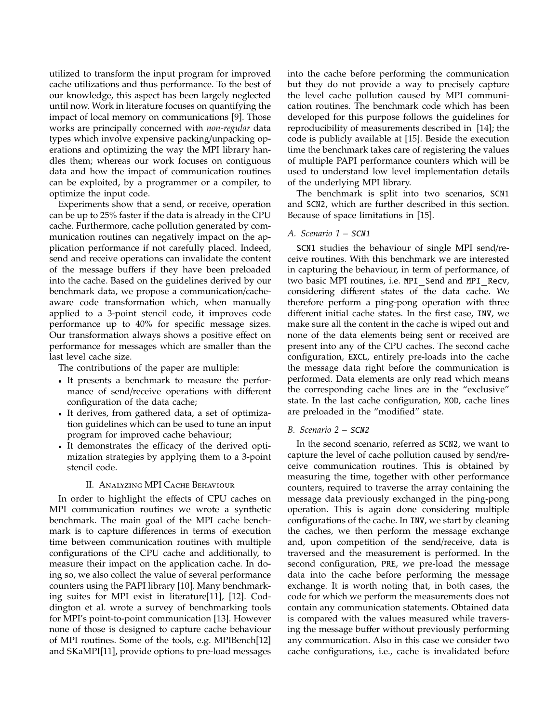utilized to transform the input program for improved cache utilizations and thus performance. To the best of our knowledge, this aspect has been largely neglected until now. Work in literature focuses on quantifying the impact of local memory on communications [9]. Those works are principally concerned with *non-regular* data types which involve expensive packing/unpacking operations and optimizing the way the MPI library handles them; whereas our work focuses on contiguous data and how the impact of communication routines can be exploited, by a programmer or a compiler, to optimize the input code.

Experiments show that a send, or receive, operation can be up to 25% faster if the data is already in the CPU cache. Furthermore, cache pollution generated by communication routines can negatively impact on the application performance if not carefully placed. Indeed, send and receive operations can invalidate the content of the message buffers if they have been preloaded into the cache. Based on the guidelines derived by our benchmark data, we propose a communication/cacheaware code transformation which, when manually applied to a 3-point stencil code, it improves code performance up to 40% for specific message sizes. Our transformation always shows a positive effect on performance for messages which are smaller than the last level cache size.

The contributions of the paper are multiple:

- It presents a benchmark to measure the performance of send/receive operations with different configuration of the data cache;
- It derives, from gathered data, a set of optimization guidelines which can be used to tune an input program for improved cache behaviour;
- It demonstrates the efficacy of the derived optimization strategies by applying them to a 3-point stencil code.

## II. Analyzing MPI Cache Behaviour

In order to highlight the effects of CPU caches on MPI communication routines we wrote a synthetic benchmark. The main goal of the MPI cache benchmark is to capture differences in terms of execution time between communication routines with multiple configurations of the CPU cache and additionally, to measure their impact on the application cache. In doing so, we also collect the value of several performance counters using the PAPI library [10]. Many benchmarking suites for MPI exist in literature[11], [12]. Coddington et al. wrote a survey of benchmarking tools for MPI's point-to-point communication [13]. However none of those is designed to capture cache behaviour of MPI routines. Some of the tools, e.g. MPIBench[12] and SKaMPI[11], provide options to pre-load messages into the cache before performing the communication but they do not provide a way to precisely capture the level cache pollution caused by MPI communication routines. The benchmark code which has been developed for this purpose follows the guidelines for reproducibility of measurements described in [14]; the code is publicly available at [15]. Beside the execution time the benchmark takes care of registering the values of multiple PAPI performance counters which will be used to understand low level implementation details of the underlying MPI library.

The benchmark is split into two scenarios, SCN1 and SCN2, which are further described in this section. Because of space limitations in [15].

### *A. Scenario 1 –* SCN1

SCN1 studies the behaviour of single MPI send/receive routines. With this benchmark we are interested in capturing the behaviour, in term of performance, of two basic MPI routines, i.e. MPI Send and MPI Recv, considering different states of the data cache. We therefore perform a ping-pong operation with three different initial cache states. In the first case, INV, we make sure all the content in the cache is wiped out and none of the data elements being sent or received are present into any of the CPU caches. The second cache configuration, EXCL, entirely pre-loads into the cache the message data right before the communication is performed. Data elements are only read which means the corresponding cache lines are in the "exclusive" state. In the last cache configuration, MOD, cache lines are preloaded in the "modified" state.

#### *B. Scenario 2 –* SCN2

In the second scenario, referred as SCN2, we want to capture the level of cache pollution caused by send/receive communication routines. This is obtained by measuring the time, together with other performance counters, required to traverse the array containing the message data previously exchanged in the ping-pong operation. This is again done considering multiple configurations of the cache. In INV, we start by cleaning the caches, we then perform the message exchange and, upon competition of the send/receive, data is traversed and the measurement is performed. In the second configuration, PRE, we pre-load the message data into the cache before performing the message exchange. It is worth noting that, in both cases, the code for which we perform the measurements does not contain any communication statements. Obtained data is compared with the values measured while traversing the message buffer without previously performing any communication. Also in this case we consider two cache configurations, i.e., cache is invalidated before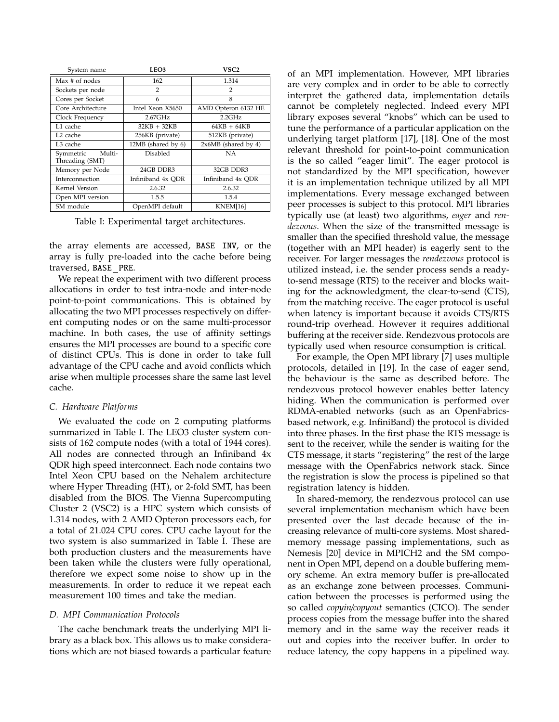| System name                            | LEO3               | VSC2                  |
|----------------------------------------|--------------------|-----------------------|
| Max # of nodes                         | 162                | 1.314                 |
| Sockets per node                       | $\mathcal{P}$      | $\mathcal{P}$         |
| Cores per Socket                       | 6                  | 8                     |
| Core Architecture                      | Intel Xeon X5650   | AMD Opteron 6132 HE   |
| Clock Frequency                        | $2.67$ GHz         | 2.2GHz                |
| L1 cache                               | $32KB + 32KB$      | $64KB + 64KB$         |
| L <sub>2</sub> cache                   | 256KB (private)    | 512KB (private)       |
| L3 cache                               | 12MB (shared by 6) | $2x6MB$ (shared by 4) |
| Multi-<br>Symmetric<br>Threading (SMT) | Disabled           | NA.                   |
| Memory per Node                        | 24GB DDR3          | 32GB DDR3             |
| Interconnection                        | Infiniband 4x ODR  | Infiniband 4x ODR     |
| Kernel Version                         | 2.6.32             | 2.6.32                |
| Open MPI version                       | 1.5.5              | 1.5.4                 |
| SM module                              | OpenMPI default    | KNEM[16]              |

Table I: Experimental target architectures.

the array elements are accessed, BASE INV, or the array is fully pre-loaded into the cache before being traversed, BASE PRE.

We repeat the experiment with two different process allocations in order to test intra-node and inter-node point-to-point communications. This is obtained by allocating the two MPI processes respectively on different computing nodes or on the same multi-processor machine. In both cases, the use of affinity settings ensures the MPI processes are bound to a specific core of distinct CPUs. This is done in order to take full advantage of the CPU cache and avoid conflicts which arise when multiple processes share the same last level cache.

### *C. Hardware Platforms*

We evaluated the code on 2 computing platforms summarized in Table I. The LEO3 cluster system consists of 162 compute nodes (with a total of 1944 cores). All nodes are connected through an Infiniband 4x QDR high speed interconnect. Each node contains two Intel Xeon CPU based on the Nehalem architecture where Hyper Threading (HT), or 2-fold SMT, has been disabled from the BIOS. The Vienna Supercomputing Cluster 2 (VSC2) is a HPC system which consists of 1.314 nodes, with 2 AMD Opteron processors each, for a total of 21.024 CPU cores. CPU cache layout for the two system is also summarized in Table I. These are both production clusters and the measurements have been taken while the clusters were fully operational, therefore we expect some noise to show up in the measurements. In order to reduce it we repeat each measurement 100 times and take the median.

## *D. MPI Communication Protocols*

The cache benchmark treats the underlying MPI library as a black box. This allows us to make considerations which are not biased towards a particular feature of an MPI implementation. However, MPI libraries are very complex and in order to be able to correctly interpret the gathered data, implementation details cannot be completely neglected. Indeed every MPI library exposes several "knobs" which can be used to tune the performance of a particular application on the underlying target platform [17], [18]. One of the most relevant threshold for point-to-point communication is the so called "eager limit". The eager protocol is not standardized by the MPI specification, however it is an implementation technique utilized by all MPI implementations. Every message exchanged between peer processes is subject to this protocol. MPI libraries typically use (at least) two algorithms, *eager* and *rendezvous*. When the size of the transmitted message is smaller than the specified threshold value, the message (together with an MPI header) is eagerly sent to the receiver. For larger messages the *rendezvous* protocol is utilized instead, i.e. the sender process sends a readyto-send message (RTS) to the receiver and blocks waiting for the acknowledgment, the clear-to-send (CTS), from the matching receive. The eager protocol is useful when latency is important because it avoids CTS/RTS round-trip overhead. However it requires additional buffering at the receiver side. Rendezvous protocols are typically used when resource consumption is critical.

For example, the Open MPI library [7] uses multiple protocols, detailed in [19]. In the case of eager send, the behaviour is the same as described before. The rendezvous protocol however enables better latency hiding. When the communication is performed over RDMA-enabled networks (such as an OpenFabricsbased network, e.g. InfiniBand) the protocol is divided into three phases. In the first phase the RTS message is sent to the receiver, while the sender is waiting for the CTS message, it starts "registering" the rest of the large message with the OpenFabrics network stack. Since the registration is slow the process is pipelined so that registration latency is hidden.

In shared-memory, the rendezvous protocol can use several implementation mechanism which have been presented over the last decade because of the increasing relevance of multi-core systems. Most sharedmemory message passing implementations, such as Nemesis [20] device in MPICH2 and the SM component in Open MPI, depend on a double buffering memory scheme. An extra memory buffer is pre-allocated as an exchange zone between processes. Communication between the processes is performed using the so called *copyin*/*copyout* semantics (CICO). The sender process copies from the message buffer into the shared memory and in the same way the receiver reads it out and copies into the receiver buffer. In order to reduce latency, the copy happens in a pipelined way.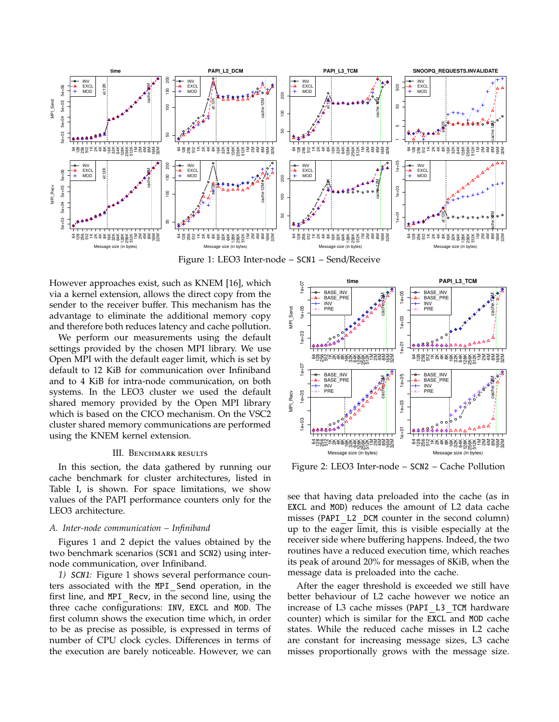

Figure 1: LEO3 Inter-node – SCN1 – Send/Receive

However approaches exist, such as KNEM [16], which via a kernel extension, allows the direct copy from the sender to the receiver buffer. This mechanism has the advantage to eliminate the additional memory copy and therefore both reduces latency and cache pollution.

We perform our measurements using the default settings provided by the chosen MPI library. We use Open MPI with the default eager limit, which is set by default to 12 KiB for communication over Infiniband and to 4 KiB for intra-node communication, on both systems. In the LEO3 cluster we used the default shared memory provided by the Open MPI library which is based on the CICO mechanism. On the VSC2 cluster shared memory communications are performed using the KNEM kernel extension.

### III. BENCHMARK RESULTS

In this section, the data gathered by running our cache benchmark for cluster architectures, listed in Table I, is shown. For space limitations, we show values of the PAPI performance counters only for the LEO3 architecture.

#### *A. Inter-node communication – Infiniband*

Figures 1 and 2 depict the values obtained by the two benchmark scenarios (SCN1 and SCN2) using internode communication, over Infiniband.

*1)* SCN1*:* Figure 1 shows several performance counters associated with the MPI\_Send operation, in the first line, and MPI\_Recv, in the second line, using the three cache configurations: INV, EXCL and MOD. The first column shows the execution time which, in order to be as precise as possible, is expressed in terms of number of CPU clock cycles. Differences in terms of the execution are barely noticeable. However, we can



Figure 2: LEO3 Inter-node – SCN2 – Cache Pollution

see that having data preloaded into the cache (as in EXCL and MOD) reduces the amount of L2 data cache misses (PAPI L2 DCM counter in the second column) up to the eager limit, this is visible especially at the receiver side where buffering happens. Indeed, the two routines have a reduced execution time, which reaches its peak of around 20% for messages of 8KiB, when the message data is preloaded into the cache.

After the eager threshold is exceeded we still have better behaviour of L2 cache however we notice an increase of L3 cache misses (PAPI L3 TCM hardware counter) which is similar for the EXCL and MOD cache states. While the reduced cache misses in L2 cache are constant for increasing message sizes, L3 cache misses proportionally grows with the message size.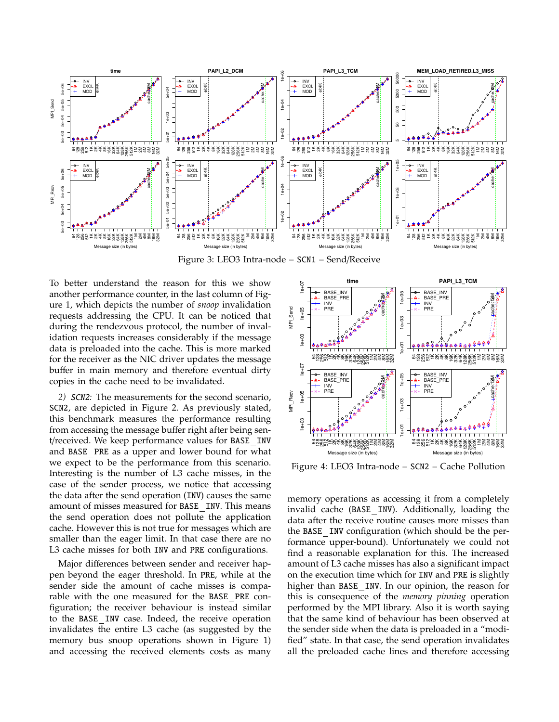

Figure 3: LEO3 Intra-node – SCN1 – Send/Receive

To better understand the reason for this we show another performance counter, in the last column of Figure 1, which depicts the number of *snoop* invalidation requests addressing the CPU. It can be noticed that during the rendezvous protocol, the number of invalidation requests increases considerably if the message data is preloaded into the cache. This is more marked for the receiver as the NIC driver updates the message buffer in main memory and therefore eventual dirty copies in the cache need to be invalidated.

*2)* SCN2*:* The measurements for the second scenario, SCN2, are depicted in Figure 2. As previously stated, this benchmark measures the performance resulting from accessing the message buffer right after being sent/received. We keep performance values for BASE\_INV and BASE PRE as a upper and lower bound for what we expect to be the performance from this scenario. Interesting is the number of L3 cache misses, in the case of the sender process, we notice that accessing the data after the send operation (INV) causes the same amount of misses measured for BASE INV. This means the send operation does not pollute the application cache. However this is not true for messages which are smaller than the eager limit. In that case there are no L3 cache misses for both INV and PRE configurations.

Major differences between sender and receiver happen beyond the eager threshold. In PRE, while at the sender side the amount of cache misses is comparable with the one measured for the BASE PRE configuration; the receiver behaviour is instead similar to the BASE INV case. Indeed, the receive operation invalidates the entire L3 cache (as suggested by the memory bus snoop operations shown in Figure 1) and accessing the received elements costs as many



Figure 4: LEO3 Intra-node – SCN2 – Cache Pollution

memory operations as accessing it from a completely invalid cache (BASE INV). Additionally, loading the data after the receive routine causes more misses than the BASE INV configuration (which should be the performance upper-bound). Unfortunately we could not find a reasonable explanation for this. The increased amount of L3 cache misses has also a significant impact on the execution time which for INV and PRE is slightly higher than BASE INV. In our opinion, the reason for this is consequence of the *memory pinning* operation performed by the MPI library. Also it is worth saying that the same kind of behaviour has been observed at the sender side when the data is preloaded in a "modified" state. In that case, the send operation invalidates all the preloaded cache lines and therefore accessing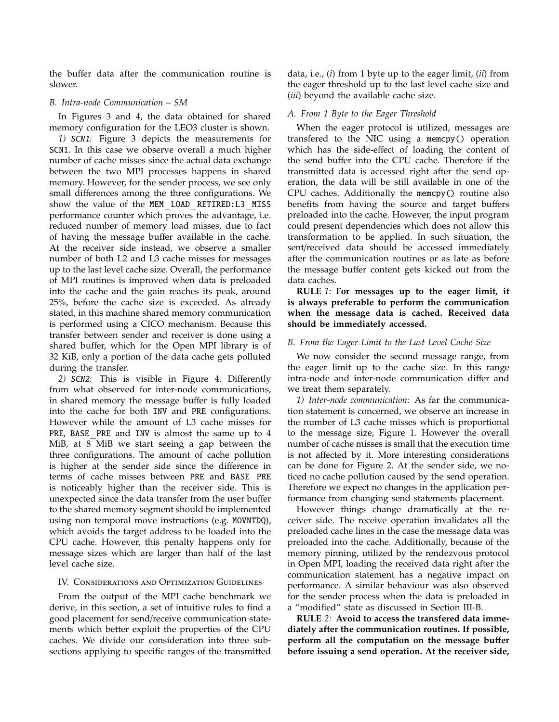the buffer data after the communication routine is slower.

#### *B. Intra-node Communication – SM*

In Figures 3 and 4, the data obtained for shared memory configuration for the LEO3 cluster is shown.

*1)* SCN1*:* Figure 3 depicts the measurements for SCN1. In this case we observe overall a much higher number of cache misses since the actual data exchange between the two MPI processes happens in shared memory. However, for the sender process, we see only small differences among the three configurations. We show the value of the MEM LOAD RETIRED:L3 MISS performance counter which proves the advantage, i.e. reduced number of memory load misses, due to fact of having the message buffer available in the cache. At the receiver side instead, we observe a smaller number of both L2 and L3 cache misses for messages up to the last level cache size. Overall, the performance of MPI routines is improved when data is preloaded into the cache and the gain reaches its peak, around 25%, before the cache size is exceeded. As already stated, in this machine shared memory communication is performed using a CICO mechanism. Because this transfer between sender and receiver is done using a shared buffer, which for the Open MPI library is of 32 KiB, only a portion of the data cache gets polluted during the transfer.

*2)* SCN2*:* This is visible in Figure 4. Differently from what observed for inter-node communications, in shared memory the message buffer is fully loaded into the cache for both INV and PRE configurations. However while the amount of L3 cache misses for PRE, BASE PRE and INV is almost the same up to 4 MiB, at 8 MiB we start seeing a gap between the three configurations. The amount of cache pollution is higher at the sender side since the difference in terms of cache misses between PRE and BASE PRE is noticeably higher than the receiver side. This is unexpected since the data transfer from the user buffer to the shared memory segment should be implemented using non temporal move instructions (e.g. MOVNTDQ), which avoids the target address to be loaded into the CPU cache. However, this penalty happens only for message sizes which are larger than half of the last level cache size.

### IV. Considerations and Optimization Guidelines

From the output of the MPI cache benchmark we derive, in this section, a set of intuitive rules to find a good placement for send/receive communication statements which better exploit the properties of the CPU caches. We divide our consideration into three subsections applying to specific ranges of the transmitted data, i.e., (*i*) from 1 byte up to the eager limit, (*ii*) from the eager threshold up to the last level cache size and (*iii*) beyond the available cache size.

## *A. From 1 Byte to the Eager Threshold*

When the eager protocol is utilized, messages are transfered to the NIC using a memcpy() operation which has the side-effect of loading the content of the send buffer into the CPU cache. Therefore if the transmitted data is accessed right after the send operation, the data will be still available in one of the CPU caches. Additionally the memcpy() routine also benefits from having the source and target buffers preloaded into the cache. However, the input program could present dependencies which does not allow this transformation to be applied. In such situation, the sent/received data should be accessed immediately after the communication routines or as late as before the message buffer content gets kicked out from the data caches.

**RULE** *1:* **For messages up to the eager limit, it is always preferable to perform the communication when the message data is cached. Received data should be immediately accessed.**

## *B. From the Eager Limit to the Last Level Cache Size*

We now consider the second message range, from the eager limit up to the cache size. In this range intra-node and inter-node communication differ and we treat them separately.

*1) Inter-node communication:* As far the communication statement is concerned, we observe an increase in the number of L3 cache misses which is proportional to the message size, Figure 1. However the overall number of cache misses is small that the execution time is not affected by it. More interesting considerations can be done for Figure 2. At the sender side, we noticed no cache pollution caused by the send operation. Therefore we expect no changes in the application performance from changing send statements placement.

However things change dramatically at the receiver side. The receive operation invalidates all the preloaded cache lines in the case the message data was preloaded into the cache. Additionally, because of the memory pinning, utilized by the rendezvous protocol in Open MPI, loading the received data right after the communication statement has a negative impact on performance. A similar behaviour was also observed for the sender process when the data is preloaded in a "modified" state as discussed in Section III-B.

**RULE** *2:* **Avoid to access the transfered data immediately after the communication routines. If possible, perform all the computation on the message bu**ff**er before issuing a send operation. At the receiver side,**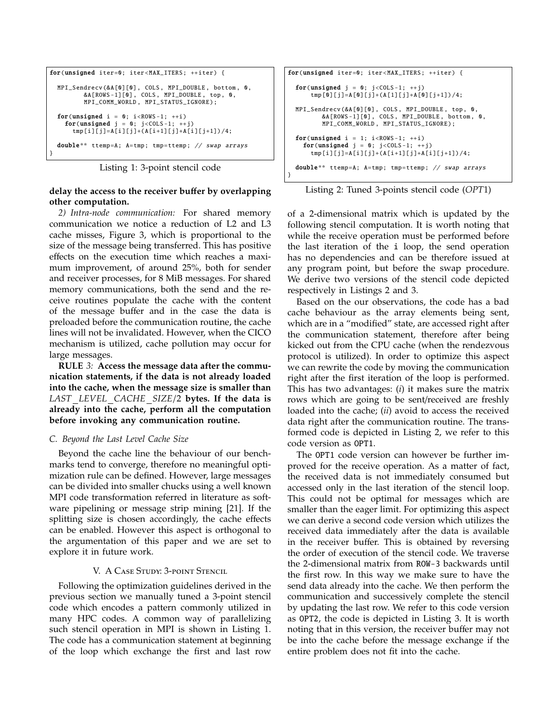```
for(unsigned iter=0; iter<MAX ITERS; ++iter) {
   MPI_Sendrecv (&A[0][0] , COLS , MPI_DOUBLE , bottom , 0,
&A[ROWS -1][0] , COLS , MPI_DOUBLE , top , 0,
MPI_COMM_WORLD , MPI_STATUS_IGNORE );
   for(unsigned i = 0; i < ROWS-1; ++i)<br>for(unsigned j = 0; j < COLS-1; ++j)
         tmp[i][j]=A[i][j]+(A[i+1][j]+A[i][j+1]) /4;
  double** ttemp=A; A=tmp; tmp=ttemp; // swap arrays
}
```
Listing 1: 3-point stencil code

## **delay the access to the receiver bu**ff**er by overlapping other computation.**

*2) Intra-node communication:* For shared memory communication we notice a reduction of L2 and L3 cache misses, Figure 3, which is proportional to the size of the message being transferred. This has positive effects on the execution time which reaches a maximum improvement, of around 25%, both for sender and receiver processes, for 8 MiB messages. For shared memory communications, both the send and the receive routines populate the cache with the content of the message buffer and in the case the data is preloaded before the communication routine, the cache lines will not be invalidated. However, when the CICO mechanism is utilized, cache pollution may occur for large messages.

**RULE** *3:* **Access the message data after the communication statements, if the data is not already loaded into the cache, when the message size is smaller than** *LAST LEVEL CACHE SIZE*/2 **bytes. If the data is already into the cache, perform all the computation before invoking any communication routine.**

## *C. Beyond the Last Level Cache Size*

Beyond the cache line the behaviour of our benchmarks tend to converge, therefore no meaningful optimization rule can be defined. However, large messages can be divided into smaller chucks using a well known MPI code transformation referred in literature as software pipelining or message strip mining [21]. If the splitting size is chosen accordingly, the cache effects can be enabled. However this aspect is orthogonal to the argumentation of this paper and we are set to explore it in future work.

## V. A CASE STUDY: 3-POINT STENCIL

Following the optimization guidelines derived in the previous section we manually tuned a 3-point stencil code which encodes a pattern commonly utilized in many HPC codes. A common way of parallelizing such stencil operation in MPI is shown in Listing 1. The code has a communication statement at beginning of the loop which exchange the first and last row

```
for(unsigned iter=0; iter<MAX ITERS; ++iter) {
  for(unsigned j = 0; j <COLS-1; ++j)
       tmp [0][j]=A[0][j]+(A[1][j]+A[0][j+1]) /4;
  MPI_Sendrecv (&A[0][0] , COLS , MPI_DOUBLE , top , 0,
           &A[ROWS -1][0] , COLS , MPI_DOUBLE , bottom , 0,
MPI_COMM_WORLD , MPI_STATUS_IGNORE );
  for(unsigned i = 1; i < ROWS - 1; ++i)
     for(unsigned j = 0; j <COLS-1; ++j)
       tmp[i][j]=A[i][j]+(A[i+1][j]+A[i][j+1]) /4;
  double** ttemp=A; A=tmp; tmp=ttemp; // swap arrays
}
```
Listing 2: Tuned 3-points stencil code (*OPT*1)

of a 2-dimensional matrix which is updated by the following stencil computation. It is worth noting that while the receive operation must be performed before the last iteration of the i loop, the send operation has no dependencies and can be therefore issued at any program point, but before the swap procedure. We derive two versions of the stencil code depicted respectively in Listings 2 and 3.

Based on the our observations, the code has a bad cache behaviour as the array elements being sent, which are in a "modified" state, are accessed right after the communication statement, therefore after being kicked out from the CPU cache (when the rendezvous protocol is utilized). In order to optimize this aspect we can rewrite the code by moving the communication right after the first iteration of the loop is performed. This has two advantages: (*i*) it makes sure the matrix rows which are going to be sent/received are freshly loaded into the cache; (*ii*) avoid to access the received data right after the communication routine. The transformed code is depicted in Listing 2, we refer to this code version as OPT1.

The OPT1 code version can however be further improved for the receive operation. As a matter of fact, the received data is not immediately consumed but accessed only in the last iteration of the stencil loop. This could not be optimal for messages which are smaller than the eager limit. For optimizing this aspect we can derive a second code version which utilizes the received data immediately after the data is available in the receiver buffer. This is obtained by reversing the order of execution of the stencil code. We traverse the 2-dimensional matrix from ROW-3 backwards until the first row. In this way we make sure to have the send data already into the cache. We then perform the communication and successively complete the stencil by updating the last row. We refer to this code version as OPT2, the code is depicted in Listing 3. It is worth noting that in this version, the receiver buffer may not be into the cache before the message exchange if the entire problem does not fit into the cache.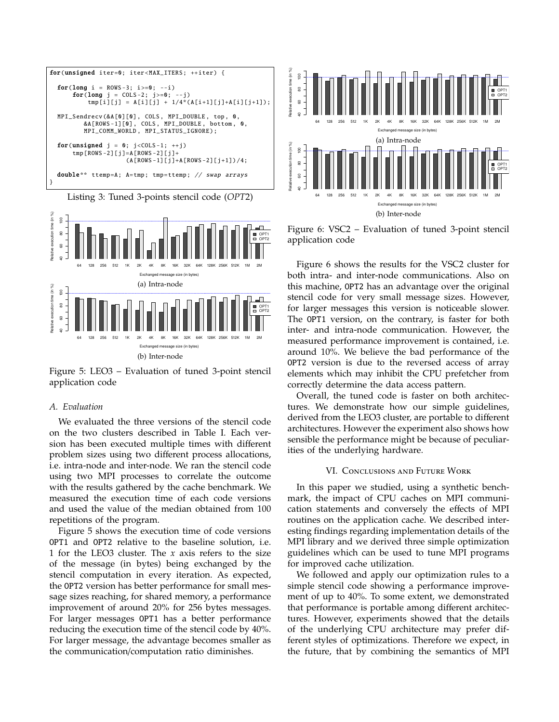

Listing 3: Tuned 3-points stencil code (*OPT*2)



Figure 5: LEO3 – Evaluation of tuned 3-point stencil application code

## *A. Evaluation*

We evaluated the three versions of the stencil code on the two clusters described in Table I. Each version has been executed multiple times with different problem sizes using two different process allocations, i.e. intra-node and inter-node. We ran the stencil code using two MPI processes to correlate the outcome with the results gathered by the cache benchmark. We measured the execution time of each code versions and used the value of the median obtained from 100 repetitions of the program.

Figure 5 shows the execution time of code versions OPT1 and OPT2 relative to the baseline solution, i.e. 1 for the LEO3 cluster. The *x* axis refers to the size of the message (in bytes) being exchanged by the stencil computation in every iteration. As expected, the OPT2 version has better performance for small message sizes reaching, for shared memory, a performance improvement of around 20% for 256 bytes messages. For larger messages OPT1 has a better performance reducing the execution time of the stencil code by 40%. For larger message, the advantage becomes smaller as the communication/computation ratio diminishes.



Figure 6: VSC2 – Evaluation of tuned 3-point stencil application code

Figure 6 shows the results for the VSC2 cluster for both intra- and inter-node communications. Also on this machine, OPT2 has an advantage over the original stencil code for very small message sizes. However, for larger messages this version is noticeable slower. The OPT1 version, on the contrary, is faster for both inter- and intra-node communication. However, the measured performance improvement is contained, i.e. around 10%. We believe the bad performance of the OPT2 version is due to the reversed access of array elements which may inhibit the CPU prefetcher from correctly determine the data access pattern.

Overall, the tuned code is faster on both architectures. We demonstrate how our simple guidelines, derived from the LEO3 cluster, are portable to different architectures. However the experiment also shows how sensible the performance might be because of peculiarities of the underlying hardware.

## VI. Conclusions and Future Work

In this paper we studied, using a synthetic benchmark, the impact of CPU caches on MPI communication statements and conversely the effects of MPI routines on the application cache. We described interesting findings regarding implementation details of the MPI library and we derived three simple optimization guidelines which can be used to tune MPI programs for improved cache utilization.

We followed and apply our optimization rules to a simple stencil code showing a performance improvement of up to 40%. To some extent, we demonstrated that performance is portable among different architectures. However, experiments showed that the details of the underlying CPU architecture may prefer different styles of optimizations. Therefore we expect, in the future, that by combining the semantics of MPI